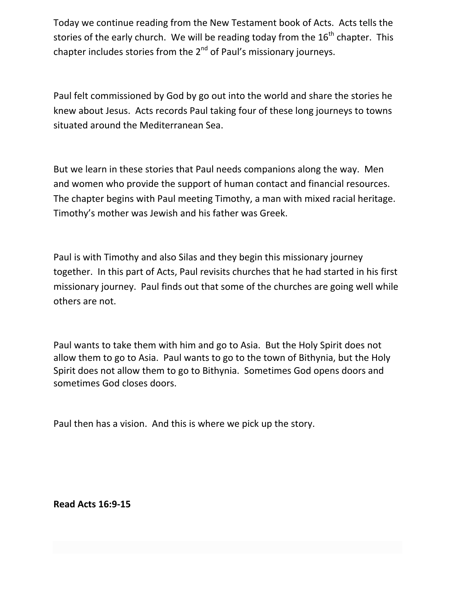Today we continue reading from the New Testament book of Acts. Acts tells the stories of the early church. We will be reading today from the  $16<sup>th</sup>$  chapter. This chapter includes stories from the  $2^{nd}$  of Paul's missionary journeys.

Paul felt commissioned by God by go out into the world and share the stories he knew about Jesus. Acts records Paul taking four of these long journeys to towns situated around the Mediterranean Sea.

But we learn in these stories that Paul needs companions along the way. Men and women who provide the support of human contact and financial resources. The chapter begins with Paul meeting Timothy, a man with mixed racial heritage. Timothy's mother was Jewish and his father was Greek.

Paul is with Timothy and also Silas and they begin this missionary journey together. In this part of Acts, Paul revisits churches that he had started in his first missionary journey. Paul finds out that some of the churches are going well while others are not.

Paul wants to take them with him and go to Asia. But the Holy Spirit does not allow them to go to Asia. Paul wants to go to the town of Bithynia, but the Holy Spirit does not allow them to go to Bithynia. Sometimes God opens doors and sometimes God closes doors.

Paul then has a vision. And this is where we pick up the story.

**Read Acts 16:9-15**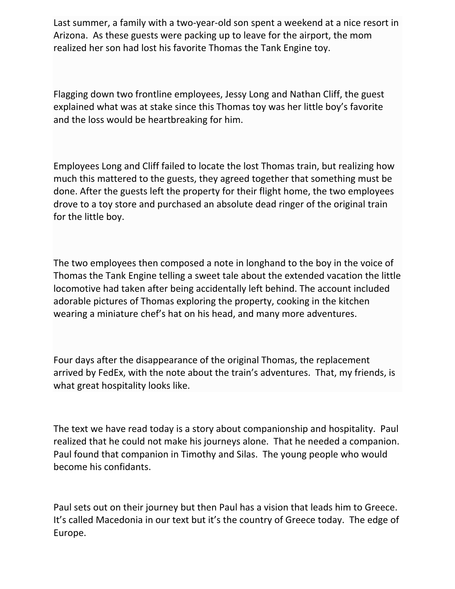Last summer, a family with a two-year-old son spent a weekend at a nice resort in Arizona. As these guests were packing up to leave for the airport, the mom realized her son had lost his favorite Thomas the Tank Engine toy.

Flagging down two frontline employees, Jessy Long and Nathan Cliff, the guest explained what was at stake since this Thomas toy was her little boy's favorite and the loss would be heartbreaking for him.

Employees Long and Cliff failed to locate the lost Thomas train, but realizing how much this mattered to the guests, they agreed together that something must be done. After the guests left the property for their flight home, the two employees drove to a toy store and purchased an absolute dead ringer of the original train for the little boy.

The two employees then composed a note in longhand to the boy in the voice of Thomas the Tank Engine telling a sweet tale about the extended vacation the little locomotive had taken after being accidentally left behind. The account included adorable pictures of Thomas exploring the property, cooking in the kitchen wearing a miniature chef's hat on his head, and many more adventures.

Four days after the disappearance of the original Thomas, the replacement arrived by FedEx, with the note about the train's adventures. That, my friends, is what great hospitality looks like.

The text we have read today is a story about companionship and hospitality. Paul realized that he could not make his journeys alone. That he needed a companion. Paul found that companion in Timothy and Silas. The young people who would become his confidants.

Paul sets out on their journey but then Paul has a vision that leads him to Greece. It's called Macedonia in our text but it's the country of Greece today. The edge of Europe.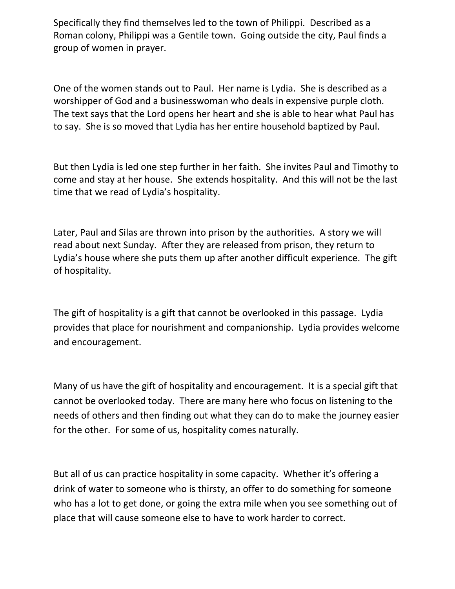Specifically they find themselves led to the town of Philippi. Described as a Roman colony, Philippi was a Gentile town. Going outside the city, Paul finds a group of women in prayer.

One of the women stands out to Paul. Her name is Lydia. She is described as a worshipper of God and a businesswoman who deals in expensive purple cloth. The text says that the Lord opens her heart and she is able to hear what Paul has to say. She is so moved that Lydia has her entire household baptized by Paul.

But then Lydia is led one step further in her faith. She invites Paul and Timothy to come and stay at her house. She extends hospitality. And this will not be the last time that we read of Lydia's hospitality.

Later, Paul and Silas are thrown into prison by the authorities. A story we will read about next Sunday. After they are released from prison, they return to Lydia's house where she puts them up after another difficult experience. The gift of hospitality.

The gift of hospitality is a gift that cannot be overlooked in this passage. Lydia provides that place for nourishment and companionship. Lydia provides welcome and encouragement.

Many of us have the gift of hospitality and encouragement. It is a special gift that cannot be overlooked today. There are many here who focus on listening to the needs of others and then finding out what they can do to make the journey easier for the other. For some of us, hospitality comes naturally.

But all of us can practice hospitality in some capacity. Whether it's offering a drink of water to someone who is thirsty, an offer to do something for someone who has a lot to get done, or going the extra mile when you see something out of place that will cause someone else to have to work harder to correct.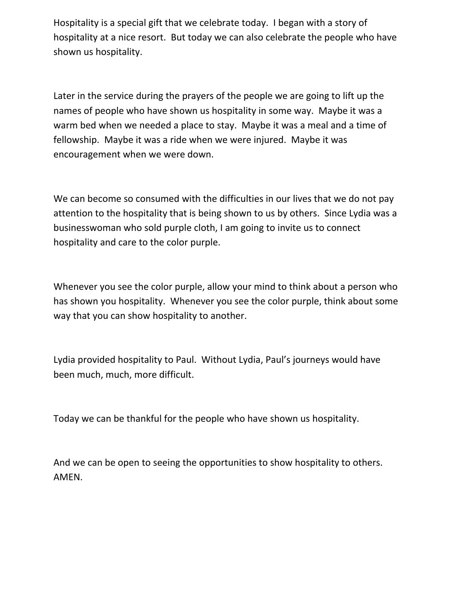Hospitality is a special gift that we celebrate today. I began with a story of hospitality at a nice resort. But today we can also celebrate the people who have shown us hospitality.

Later in the service during the prayers of the people we are going to lift up the names of people who have shown us hospitality in some way. Maybe it was a warm bed when we needed a place to stay. Maybe it was a meal and a time of fellowship. Maybe it was a ride when we were injured. Maybe it was encouragement when we were down.

We can become so consumed with the difficulties in our lives that we do not pay attention to the hospitality that is being shown to us by others. Since Lydia was a businesswoman who sold purple cloth, I am going to invite us to connect hospitality and care to the color purple.

Whenever you see the color purple, allow your mind to think about a person who has shown you hospitality. Whenever you see the color purple, think about some way that you can show hospitality to another.

Lydia provided hospitality to Paul. Without Lydia, Paul's journeys would have been much, much, more difficult.

Today we can be thankful for the people who have shown us hospitality.

And we can be open to seeing the opportunities to show hospitality to others. AMEN.